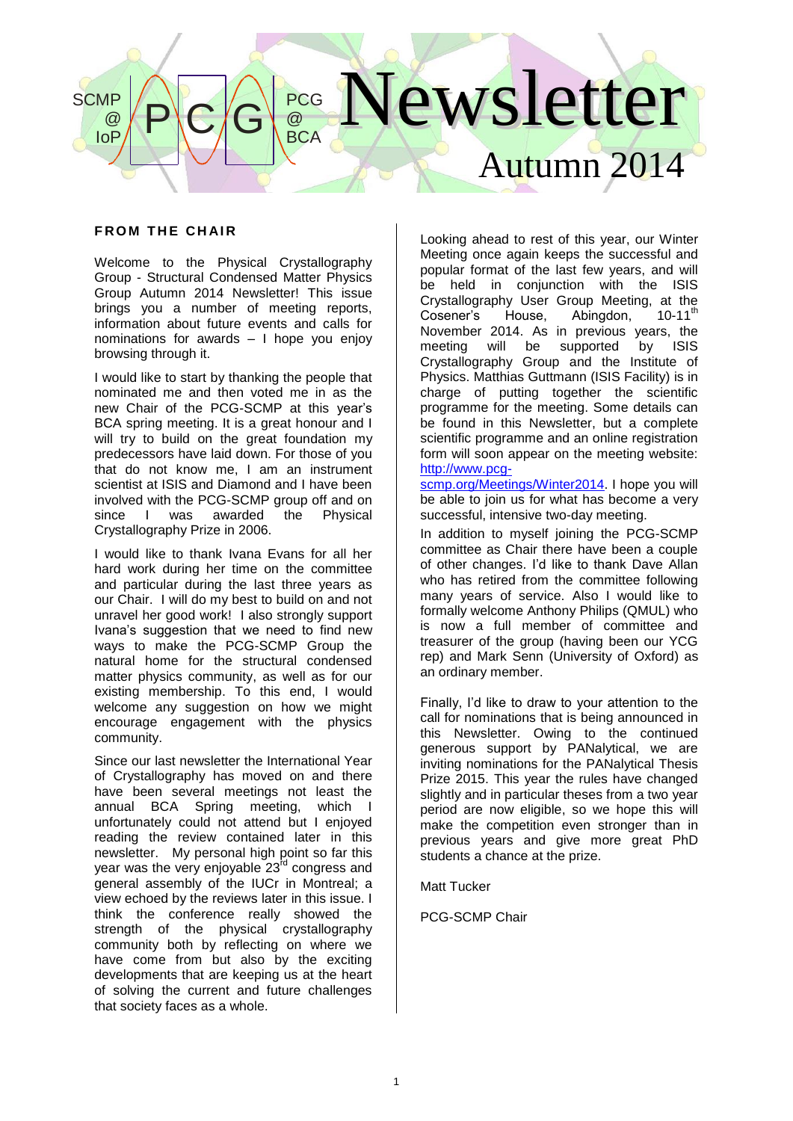# lewsletter Autumn 2014  $P$  $C/G$ PCG @ **BCA SCMP** @ IoP

## **FROM THE CHAIR**

Welcome to the Physical Crystallography Group - Structural Condensed Matter Physics Group Autumn 2014 Newsletter! This issue brings you a number of meeting reports, information about future events and calls for nominations for awards – I hope you enjoy browsing through it.

I would like to start by thanking the people that nominated me and then voted me in as the new Chair of the PCG-SCMP at this year's BCA spring meeting. It is a great honour and I will try to build on the great foundation my predecessors have laid down. For those of you that do not know me, I am an instrument scientist at ISIS and Diamond and I have been involved with the PCG-SCMP group off and on since I was awarded the Physical Crystallography Prize in 2006.

I would like to thank Ivana Evans for all her hard work during her time on the committee and particular during the last three years as our Chair. I will do my best to build on and not unravel her good work! I also strongly support Ivana's suggestion that we need to find new ways to make the PCG-SCMP Group the natural home for the structural condensed matter physics community, as well as for our existing membership. To this end, I would welcome any suggestion on how we might encourage engagement with the physics community.

Since our last newsletter the International Year of Crystallography has moved on and there have been several meetings not least the annual BCA Spring meeting, which I unfortunately could not attend but I enjoyed reading the review contained later in this newsletter. My personal high point so far this year was the very enjoyable 23<sup>rd</sup> congress and general assembly of the IUCr in Montreal; a view echoed by the reviews later in this issue. I think the conference really showed the strength of the physical crystallography community both by reflecting on where we have come from but also by the exciting developments that are keeping us at the heart of solving the current and future challenges that society faces as a whole.

Looking ahead to rest of this year, our Winter Meeting once again keeps the successful and popular format of the last few years, and will be held in conjunction with the ISIS Crystallography User Group Meeting, at the<br>Cosener's House. Abinadon. 10-11<sup>th</sup> Abingdon, 10-11<sup>th</sup> November 2014. As in previous years, the meeting will be supported by ISIS Crystallography Group and the Institute of Physics. Matthias Guttmann (ISIS Facility) is in charge of putting together the scientific programme for the meeting. Some details can be found in this Newsletter, but a complete scientific programme and an online registration form will soon appear on the meeting website: [http://www.pcg-](http://www.pcg-scmp.org/Meetings/Winter2014)

[scmp.org/Meetings/Winter2014.](http://www.pcg-scmp.org/Meetings/Winter2014) I hope you will be able to join us for what has become a very successful, intensive two-day meeting.

In addition to myself joining the PCG-SCMP committee as Chair there have been a couple of other changes. I'd like to thank Dave Allan who has retired from the committee following many years of service. Also I would like to formally welcome Anthony Philips (QMUL) who is now a full member of committee and treasurer of the group (having been our YCG rep) and Mark Senn (University of Oxford) as an ordinary member.

Finally, I'd like to draw to your attention to the call for nominations that is being announced in this Newsletter. Owing to the continued generous support by PANalytical, we are inviting nominations for the PANalytical Thesis Prize 2015. This year the rules have changed slightly and in particular theses from a two year period are now eligible, so we hope this will make the competition even stronger than in previous years and give more great PhD students a chance at the prize.

Matt Tucker

PCG-SCMP Chair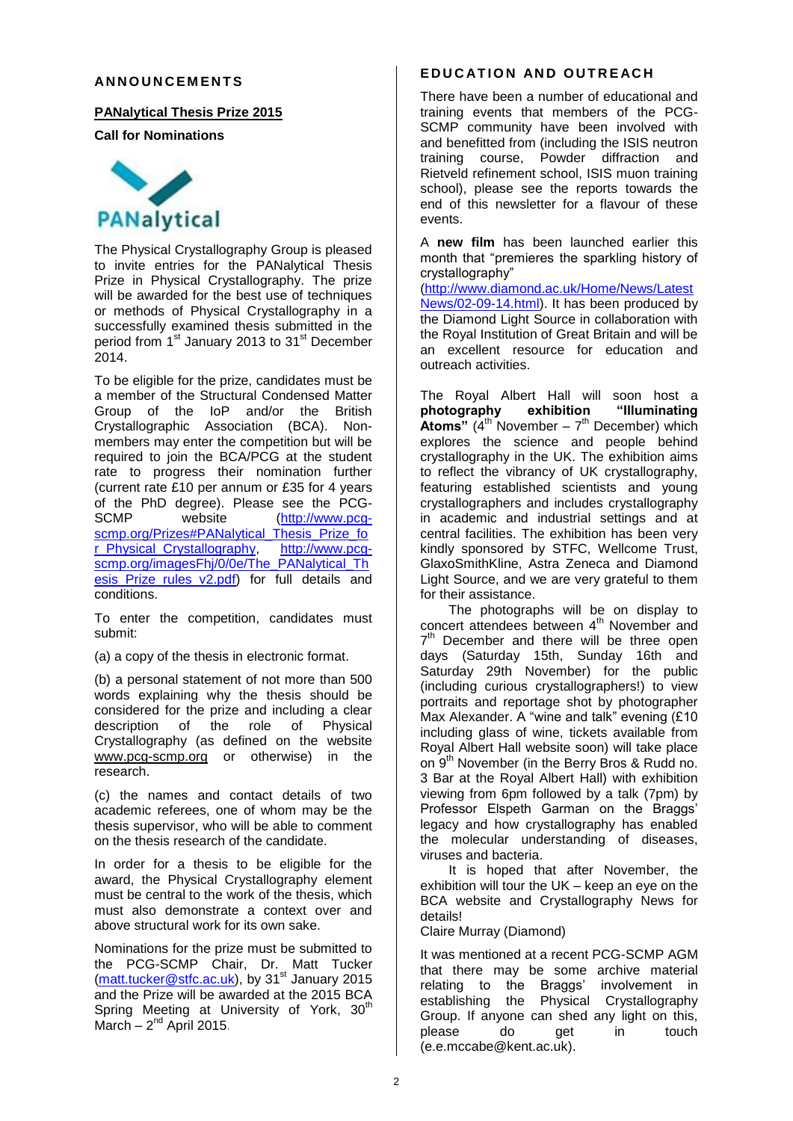#### **AN N O U N C E M E N T S**

#### **PANalytical Thesis Prize 2015**

**Call for Nominations**



The Physical Crystallography Group is pleased to invite entries for the PANalytical Thesis Prize in Physical Crystallography. The prize will be awarded for the best use of techniques or methods of Physical Crystallography in a successfully examined thesis submitted in the period from 1<sup>st</sup> January 2013 to 31<sup>st</sup> December  $2014.$ 

To be eligible for the prize, candidates must be a member of the Structural Condensed Matter Group of the IoP and/or the British Crystallographic Association (BCA). Nonmembers may enter the competition but will be required to join the BCA/PCG at the student rate to progress their nomination further (current rate £10 per annum or £35 for 4 years of the PhD degree). Please see the PCG-<br>SCMP website (http://www.pcq-website [\(http://www.pcg](https://owa.connect.kent.ac.uk/OWA/redir.aspx?C=PsjuO0Pr5kyGp5Tj6fogPwkvUallxdEI8OUDEuLFBAsMuCbo2w5V_UKxP90fNpPtyZcu40ZmkfA.&URL=http%3a%2f%2fwww.pcg-scmp.org%2fPrizes%23PANalytical_Thesis_Prize_for_Physical_Crystallography)[scmp.org/Prizes#PANalytical\\_Thesis\\_Prize\\_fo](https://owa.connect.kent.ac.uk/OWA/redir.aspx?C=PsjuO0Pr5kyGp5Tj6fogPwkvUallxdEI8OUDEuLFBAsMuCbo2w5V_UKxP90fNpPtyZcu40ZmkfA.&URL=http%3a%2f%2fwww.pcg-scmp.org%2fPrizes%23PANalytical_Thesis_Prize_for_Physical_Crystallography) [r\\_Physical\\_Crystallography,](https://owa.connect.kent.ac.uk/OWA/redir.aspx?C=PsjuO0Pr5kyGp5Tj6fogPwkvUallxdEI8OUDEuLFBAsMuCbo2w5V_UKxP90fNpPtyZcu40ZmkfA.&URL=http%3a%2f%2fwww.pcg-scmp.org%2fPrizes%23PANalytical_Thesis_Prize_for_Physical_Crystallography) [http://www.pcg](https://owa.connect.kent.ac.uk/OWA/redir.aspx?C=PsjuO0Pr5kyGp5Tj6fogPwkvUallxdEI8OUDEuLFBAsMuCbo2w5V_UKxP90fNpPtyZcu40ZmkfA.&URL=http%3a%2f%2fwww.pcg-scmp.org%2fimagesFhj%2f0%2f0e%2fThe_PANalytical_Thesis_Prize_rules_v2.pdf)[scmp.org/imagesFhj/0/0e/The\\_PANalytical\\_Th](https://owa.connect.kent.ac.uk/OWA/redir.aspx?C=PsjuO0Pr5kyGp5Tj6fogPwkvUallxdEI8OUDEuLFBAsMuCbo2w5V_UKxP90fNpPtyZcu40ZmkfA.&URL=http%3a%2f%2fwww.pcg-scmp.org%2fimagesFhj%2f0%2f0e%2fThe_PANalytical_Thesis_Prize_rules_v2.pdf) esis Prize rules v2.pdf) for full details and conditions.

To enter the competition, candidates must submit:

(a) a copy of the thesis in electronic format.

(b) a personal statement of not more than 500 words explaining why the thesis should be considered for the prize and including a clear<br>description of the role of Physical description of the role of Physical Crystallography (as defined on the website [www.pcg-scmp.org](http://www.pcg-scmp.org/) or otherwise) in the research.

(c) the names and contact details of two academic referees, one of whom may be the thesis supervisor, who will be able to comment on the thesis research of the candidate.

In order for a thesis to be eligible for the award, the Physical Crystallography element must be central to the work of the thesis, which must also demonstrate a context over and above structural work for its own sake.

Nominations for the prize must be submitted to the PCG-SCMP Chair, Dr. Matt Tucker (matt.tucker@stfc.ac.uk), by 31<sup>st</sup> January 2015 and the Prize will be awarded at the 2015 BCA Spring Meeting at University of York, 30<sup>th</sup>  $March - 2<sup>nd</sup>$  April 2015.

## **E D U C AT I O N AN D O U T R E AC H**

There have been a number of educational and training events that members of the PCG-SCMP community have been involved with and benefitted from (including the ISIS neutron training course, Powder diffraction and Rietveld refinement school, ISIS muon training school), please see the reports towards the end of this newsletter for a flavour of these events.

A **new film** has been launched earlier this month that "premieres the sparkling history of crystallography"

(http://www.diamond.ac.uk/Home/News/Latest News/02-09-14.html). It has been produced by the Diamond Light Source in collaboration with the Royal Institution of Great Britain and will be an excellent resource for education and outreach activities.

The Royal Albert Hall will soon host a<br>photography exhibition "Illuminating **photography exhibition "Illuminating Atoms"**  $(4^{th}$  November  $-7^{th}$  December) which explores the science and people behind crystallography in the UK. The exhibition aims to reflect the vibrancy of UK crystallography, featuring established scientists and young crystallographers and includes crystallography in academic and industrial settings and at central facilities. The exhibition has been very kindly sponsored by STFC, Wellcome Trust, GlaxoSmithKline, Astra Zeneca and Diamond Light Source, and we are very grateful to them for their assistance.

The photographs will be on display to concert attendees between 4<sup>th</sup> November and  $7<sup>th</sup>$  December and there will be three open days (Saturday 15th, Sunday 16th and Saturday 29th November) for the public (including curious crystallographers!) to view portraits and reportage shot by photographer Max Alexander. A "wine and talk" evening (£10 including glass of wine, tickets available from Royal Albert Hall website soon) will take place on 9<sup>th</sup> November (in the Berry Bros & Rudd no. 3 Bar at the Royal Albert Hall) with exhibition viewing from 6pm followed by a talk (7pm) by Professor Elspeth Garman on the Braggs' legacy and how crystallography has enabled the molecular understanding of diseases, viruses and bacteria.

It is hoped that after November, the exhibition will tour the UK – keep an eye on the BCA website and Crystallography News for details!

Claire Murray (Diamond)

It was mentioned at a recent PCG-SCMP AGM that there may be some archive material relating to the Braggs' involvement in establishing the Physical Crystallography Group. If anyone can shed any light on this, please do get in touch (e.e.mccabe@kent.ac.uk).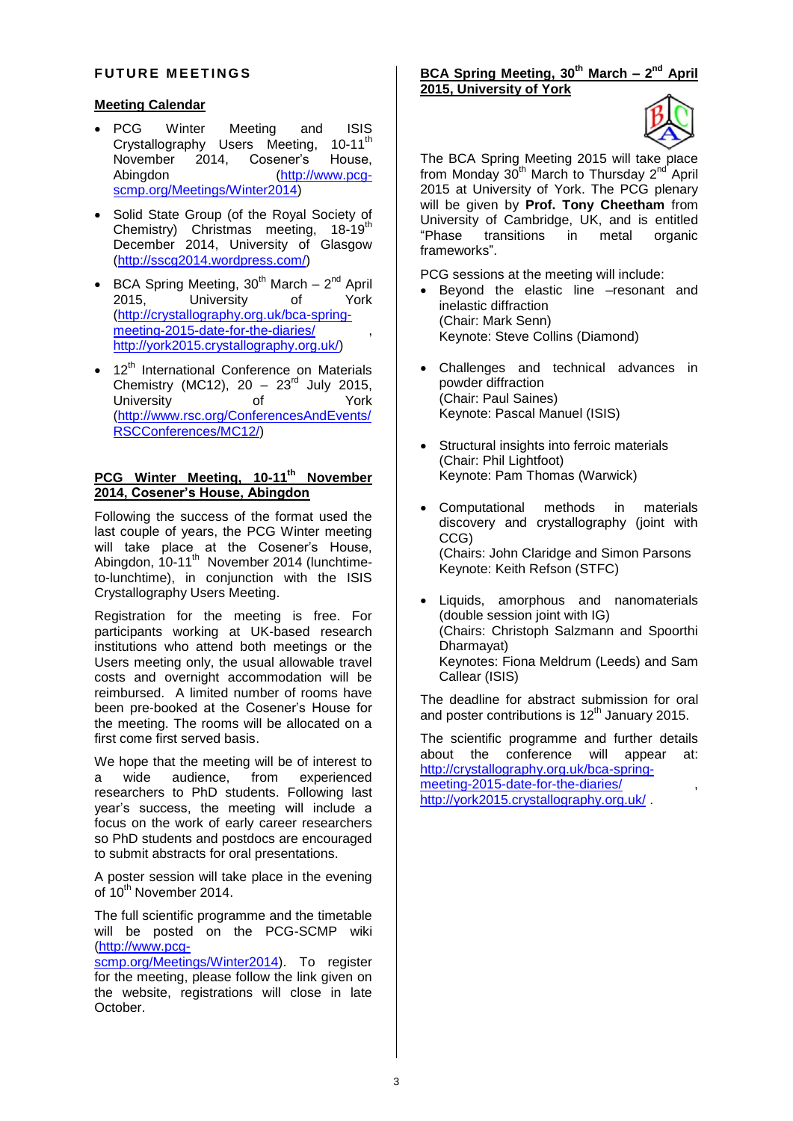#### **FUTURE MEETINGS**

## **Meeting Calendar**

- PCG Winter Meeting and ISIS Crystallography Users Meeting, 10-11<sup>th</sup> November 2014, Cosener's House,<br>Abinadon (http://www.pca-(http://www.pcgscmp.org/Meetings/Winter2014)
- Solid State Group (of the Royal Society of Chemistry) Christmas meeting, 18-19<sup>th</sup> December 2014, University of Glasgow (http://sscg2014.wordpress.com/)
- BCA Spring Meeting,  $30^{th}$  March  $2^{nd}$  April 2015, University of York (http://crystallography.org.uk/bca-springmeeting-2015-date-for-the-diaries/ http://york2015.crystallography.org.uk/)
- 12<sup>th</sup> International Conference on Materials Chemistry (MC12),  $20 - 23^{rd}$  July 2015, University of York (http://www.rsc.org/ConferencesAndEvents/ RSCConferences/MC12/)

## **PCG Winter Meeting, 10-11th November 2014, Cosener's House, Abingdon**

Following the success of the format used the last couple of years, the PCG Winter meeting will take place at the Cosener's House, Abingdon, 10-11<sup>th</sup> November 2014 (lunchtimeto-lunchtime), in conjunction with the ISIS Crystallography Users Meeting.

Registration for the meeting is free. For participants working at UK-based research institutions who attend both meetings or the Users meeting only, the usual allowable travel costs and overnight accommodation will be reimbursed. A limited number of rooms have been pre-booked at the Cosener's House for the meeting. The rooms will be allocated on a first come first served basis.

We hope that the meeting will be of interest to a wide audience, from experienced researchers to PhD students. Following last year's success, the meeting will include a focus on the work of early career researchers so PhD students and postdocs are encouraged to submit abstracts for oral presentations.

A poster session will take place in the evening of 10<sup>th</sup> November 2014.

The full scientific programme and the timetable will be posted on the PCG-SCMP wiki (http://www.pcg-

scmp.org/Meetings/Winter2014). To register for the meeting, please follow the link given on the website, registrations will close in late October.

**BCA Spring Meeting, 30th March – 2 nd April 2015, University of York**



The BCA Spring Meeting 2015 will take place from Monday 30<sup>th</sup> March to Thursday 2<sup>nd</sup> April 2015 at University of York. The PCG plenary will be given by **Prof. Tony Cheetham** from University of Cambridge, UK, and is entitled "Phase transitions in metal organic frameworks".

PCG sessions at the meeting will include:

- Beyond the elastic line –resonant and inelastic diffraction (Chair: Mark Senn) Keynote: Steve Collins (Diamond)
- Challenges and technical advances in powder diffraction (Chair: Paul Saines) Keynote: Pascal Manuel (ISIS)
- Structural insights into ferroic materials (Chair: Phil Lightfoot) Keynote: Pam Thomas (Warwick)
- Computational methods in materials discovery and crystallography (joint with CCG) (Chairs: John Claridge and Simon Parsons Keynote: Keith Refson (STFC)
- Liquids, amorphous and nanomaterials (double session joint with IG) (Chairs: Christoph Salzmann and Spoorthi Dharmayat) Keynotes: Fiona Meldrum (Leeds) and Sam Callear (ISIS)

The deadline for abstract submission for oral and poster contributions is 12<sup>th</sup> January 2015.

The scientific programme and further details about the conference will appear at: http://crystallography.org.uk/bca-springmeeting-2015-date-for-the-diaries/ , http://york2015.crystallography.org.uk/ .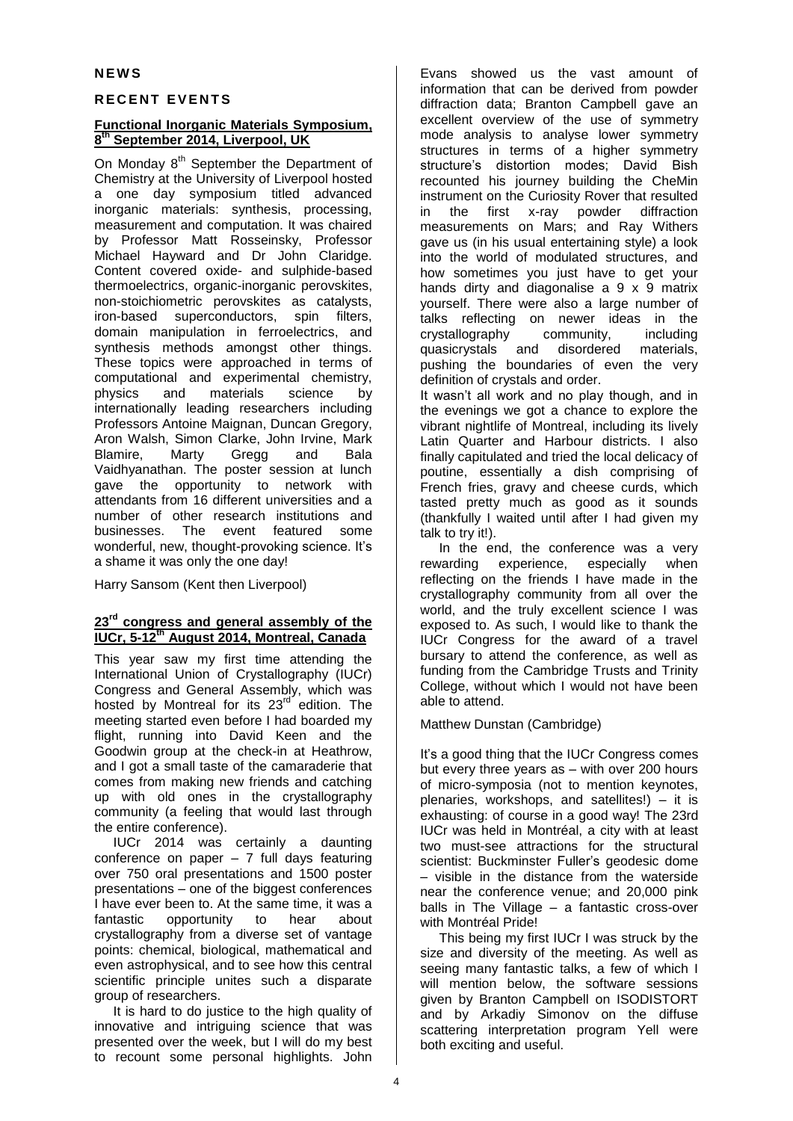#### **N E W S**

#### **R E C E N T E V E N T S**

#### **Functional Inorganic Materials Symposium, 8 th September 2014, Liverpool, UK**

On Monday 8<sup>th</sup> September the Department of Chemistry at the University of Liverpool hosted a one day symposium titled advanced inorganic materials: synthesis, processing, measurement and computation. It was chaired by Professor Matt Rosseinsky, Professor Michael Hayward and Dr John Claridge. Content covered oxide- and sulphide-based thermoelectrics, organic-inorganic perovskites, non-stoichiometric perovskites as catalysts, iron-based superconductors, spin filters, domain manipulation in ferroelectrics, and synthesis methods amongst other things. These topics were approached in terms of computational and experimental chemistry, physics and materials science by internationally leading researchers including Professors Antoine Maignan, Duncan Gregory, Aron Walsh, Simon Clarke, John Irvine, Mark Blamire, Marty Gregg and Bala Vaidhyanathan. The poster session at lunch gave the opportunity to network with attendants from 16 different universities and a number of other research institutions and businesses. The event featured some wonderful, new, thought-provoking science. It's a shame it was only the one day!

Harry Sansom (Kent then Liverpool)

#### **23rd congress and general assembly of the IUCr, 5-12th August 2014, Montreal, Canada**

This year saw my first time attending the International Union of Crystallography (IUCr) Congress and General Assembly, which was hosted by Montreal for its  $23<sup>rd</sup>$  edition. The meeting started even before I had boarded my flight, running into David Keen and the Goodwin group at the check-in at Heathrow, and I got a small taste of the camaraderie that comes from making new friends and catching up with old ones in the crystallography community (a feeling that would last through the entire conference).

IUCr 2014 was certainly a daunting conference on paper  $-7$  full days featuring over 750 oral presentations and 1500 poster presentations – one of the biggest conferences I have ever been to. At the same time, it was a fantastic opportunity to hear about crystallography from a diverse set of vantage points: chemical, biological, mathematical and even astrophysical, and to see how this central scientific principle unites such a disparate group of researchers.

It is hard to do justice to the high quality of innovative and intriguing science that was presented over the week, but I will do my best to recount some personal highlights. John

Evans showed us the vast amount of information that can be derived from powder diffraction data; Branton Campbell gave an excellent overview of the use of symmetry mode analysis to analyse lower symmetry structures in terms of a higher symmetry structure's distortion modes; David Bish recounted his journey building the CheMin instrument on the Curiosity Rover that resulted in the first x-ray powder diffraction measurements on Mars; and Ray Withers gave us (in his usual entertaining style) a look into the world of modulated structures, and how sometimes you just have to get your hands dirty and diagonalise a 9 x 9 matrix yourself. There were also a large number of talks reflecting on newer ideas in the<br>crystallography community, including crystallography community, including quasicrystals and disordered materials, pushing the boundaries of even the very definition of crystals and order.

It wasn't all work and no play though, and in the evenings we got a chance to explore the vibrant nightlife of Montreal, including its lively Latin Quarter and Harbour districts. I also finally capitulated and tried the local delicacy of poutine, essentially a dish comprising of French fries, gravy and cheese curds, which tasted pretty much as good as it sounds (thankfully I waited until after I had given my talk to try it!).

In the end, the conference was a very rewarding experience, especially when reflecting on the friends I have made in the crystallography community from all over the world, and the truly excellent science I was exposed to. As such, I would like to thank the IUCr Congress for the award of a travel bursary to attend the conference, as well as funding from the Cambridge Trusts and Trinity College, without which I would not have been able to attend.

Matthew Dunstan (Cambridge)

It's a good thing that the IUCr Congress comes but every three years as – with over 200 hours of micro-symposia (not to mention keynotes, plenaries, workshops, and satellites!) – it is exhausting: of course in a good way! The 23rd IUCr was held in Montréal, a city with at least two must-see attractions for the structural scientist: Buckminster Fuller's geodesic dome – visible in the distance from the waterside near the conference venue; and 20,000 pink balls in The Village – a fantastic cross-over with Montréal Pride!

This being my first IUCr I was struck by the size and diversity of the meeting. As well as seeing many fantastic talks, a few of which I will mention below, the software sessions given by Branton Campbell on ISODISTORT and by Arkadiy Simonov on the diffuse scattering interpretation program Yell were both exciting and useful.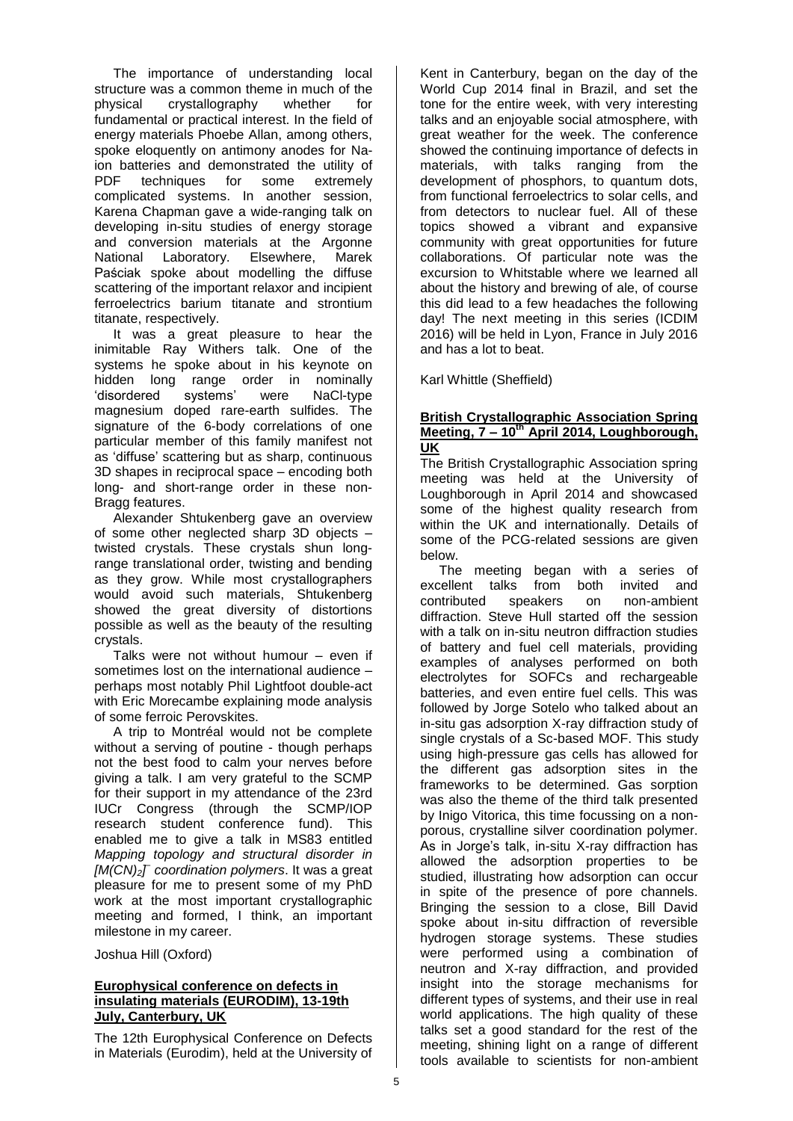The importance of understanding local structure was a common theme in much of the physical crystallography whether for fundamental or practical interest. In the field of energy materials Phoebe Allan, among others, spoke eloquently on antimony anodes for Naion batteries and demonstrated the utility of<br>PDF techniques for some extremely techniques for some complicated systems. In another session, Karena Chapman gave a wide-ranging talk on developing in-situ studies of energy storage and conversion materials at the Argonne National Laboratory. Elsewhere, Marek Paściak spoke about modelling the diffuse scattering of the important relaxor and incipient ferroelectrics barium titanate and strontium titanate, respectively.

It was a great pleasure to hear the inimitable Ray Withers talk. One of the systems he spoke about in his keynote on hidden long range order in nominally 'disordered systems' were NaCl-type magnesium doped rare-earth sulfides. The signature of the 6-body correlations of one particular member of this family manifest not as 'diffuse' scattering but as sharp, continuous 3D shapes in reciprocal space – encoding both long- and short-range order in these non-Bragg features.

Alexander Shtukenberg gave an overview of some other neglected sharp 3D objects – twisted crystals. These crystals shun longrange translational order, twisting and bending as they grow. While most crystallographers would avoid such materials, Shtukenberg showed the great diversity of distortions possible as well as the beauty of the resulting crystals.

Talks were not without humour – even if sometimes lost on the international audience – perhaps most notably Phil Lightfoot double-act with Eric Morecambe explaining mode analysis of some ferroic Perovskites.

A trip to Montréal would not be complete without a serving of poutine - though perhaps not the best food to calm your nerves before giving a talk. I am very grateful to the SCMP for their support in my attendance of the 23rd IUCr Congress (through the SCMP/IOP research student conference fund). This enabled me to give a talk in MS83 entitled *Mapping topology and structural disorder in [M(CN)2] – coordination polymers*. It was a great pleasure for me to present some of my PhD work at the most important crystallographic meeting and formed, I think, an important milestone in my career.

Joshua Hill (Oxford)

## **Europhysical conference on defects in insulating materials (EURODIM), 13-19th July, Canterbury, UK**

The 12th Europhysical Conference on Defects in Materials (Eurodim), held at the University of

Kent in Canterbury, began on the day of the World Cup 2014 final in Brazil, and set the tone for the entire week, with very interesting talks and an enjoyable social atmosphere, with great weather for the week. The conference showed the continuing importance of defects in materials, with talks ranging from the development of phosphors, to quantum dots, from functional ferroelectrics to solar cells, and from detectors to nuclear fuel. All of these topics showed a vibrant and expansive community with great opportunities for future collaborations. Of particular note was the excursion to Whitstable where we learned all about the history and brewing of ale, of course this did lead to a few headaches the following day! The next meeting in this series (ICDIM 2016) will be held in Lyon, France in July 2016 and has a lot to beat.

Karl Whittle (Sheffield)

#### **British Crystallographic Association Spring Meeting, 7 – 10th April 2014, Loughborough, UK**

The British Crystallographic Association spring meeting was held at the University of Loughborough in April 2014 and showcased some of the highest quality research from within the UK and internationally. Details of some of the PCG-related sessions are given below.

The meeting began with a series of excellent talks from both invited and contributed speakers on non-ambient diffraction. Steve Hull started off the session with a talk on in-situ neutron diffraction studies of battery and fuel cell materials, providing examples of analyses performed on both electrolytes for SOFCs and rechargeable batteries, and even entire fuel cells. This was followed by Jorge Sotelo who talked about an in-situ gas adsorption X-ray diffraction study of single crystals of a Sc-based MOF. This study using high-pressure gas cells has allowed for the different gas adsorption sites in the frameworks to be determined. Gas sorption was also the theme of the third talk presented by Inigo Vitorica, this time focussing on a nonporous, crystalline silver coordination polymer. As in Jorge's talk, in-situ X-ray diffraction has allowed the adsorption properties to be studied, illustrating how adsorption can occur in spite of the presence of pore channels. Bringing the session to a close, Bill David spoke about in-situ diffraction of reversible hydrogen storage systems. These studies were performed using a combination of neutron and X-ray diffraction, and provided insight into the storage mechanisms for different types of systems, and their use in real world applications. The high quality of these talks set a good standard for the rest of the meeting, shining light on a range of different tools available to scientists for non-ambient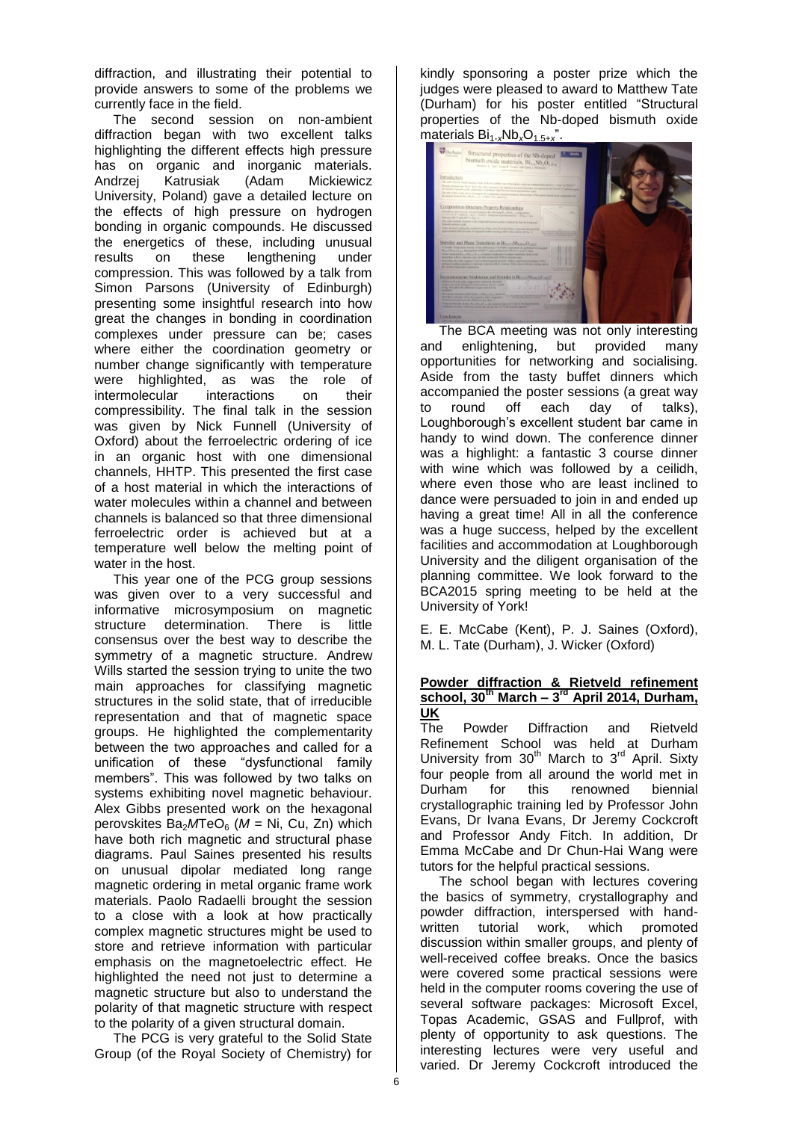diffraction, and illustrating their potential to provide answers to some of the problems we currently face in the field.

The second session on non-ambient diffraction began with two excellent talks highlighting the different effects high pressure has on organic and inorganic materials.<br>Andrzej Katrusiak (Adam Mickiewicz Katrusiak University, Poland) gave a detailed lecture on the effects of high pressure on hydrogen bonding in organic compounds. He discussed the energetics of these, including unusual results on these lengthening under compression. This was followed by a talk from Simon Parsons (University of Edinburgh) presenting some insightful research into how great the changes in bonding in coordination complexes under pressure can be; cases where either the coordination geometry or number change significantly with temperature were highlighted, as was the role of intermolecular interactions on their compressibility. The final talk in the session was given by Nick Funnell (University of Oxford) about the ferroelectric ordering of ice in an organic host with one dimensional channels, HHTP. This presented the first case of a host material in which the interactions of water molecules within a channel and between channels is balanced so that three dimensional ferroelectric order is achieved but at a temperature well below the melting point of water in the host.

This year one of the PCG group sessions was given over to a very successful and informative microsymposium on magnetic structure determination. There is little consensus over the best way to describe the symmetry of a magnetic structure. Andrew Wills started the session trying to unite the two main approaches for classifying magnetic structures in the solid state, that of irreducible representation and that of magnetic space groups. He highlighted the complementarity between the two approaches and called for a unification of these "dysfunctional family members". This was followed by two talks on systems exhibiting novel magnetic behaviour. Alex Gibbs presented work on the hexagonal perovskites Ba<sub>2</sub>MTeO<sub>6</sub> (M = Ni, Cu, Zn) which have both rich magnetic and structural phase diagrams. Paul Saines presented his results on unusual dipolar mediated long range magnetic ordering in metal organic frame work materials. Paolo Radaelli brought the session to a close with a look at how practically complex magnetic structures might be used to store and retrieve information with particular emphasis on the magnetoelectric effect. He highlighted the need not just to determine a magnetic structure but also to understand the polarity of that magnetic structure with respect to the polarity of a given structural domain.

The PCG is very grateful to the Solid State Group (of the Royal Society of Chemistry) for kindly sponsoring a poster prize which the judges were pleased to award to Matthew Tate (Durham) for his poster entitled "Structural properties of the Nb-doped bismuth oxide materials  $Bi_{1-x}Nb_xO_{1.5+x}$ ".



The BCA meeting was not only interesting and enlightening, but provided many opportunities for networking and socialising. Aside from the tasty buffet dinners which accompanied the poster sessions (a great way to round off each day of talks), Loughborough's excellent student bar came in handy to wind down. The conference dinner was a highlight: a fantastic 3 course dinner with wine which was followed by a ceilidh, where even those who are least inclined to dance were persuaded to join in and ended up having a great time! All in all the conference was a huge success, helped by the excellent facilities and accommodation at Loughborough University and the diligent organisation of the planning committee. We look forward to the BCA2015 spring meeting to be held at the University of York!

E. E. McCabe (Kent), P. J. Saines (Oxford), M. L. Tate (Durham), J. Wicker (Oxford)

#### **Powder diffraction & Rietveld refinement school, 30th March – 3 rd April 2014, Durham, UK**

The Powder Diffraction and Rietveld Refinement School was held at Durham University from 30<sup>th</sup> March to 3<sup>rd</sup> April. Sixty four people from all around the world met in<br>Durham for this renowned biennial Durham for this renowned biennial crystallographic training led by Professor John Evans, Dr Ivana Evans, Dr Jeremy Cockcroft and Professor Andy Fitch. In addition, Dr Emma McCabe and Dr Chun-Hai Wang were tutors for the helpful practical sessions.

The school began with lectures covering the basics of symmetry, crystallography and powder diffraction, interspersed with handwritten tutorial work, which promoted discussion within smaller groups, and plenty of well-received coffee breaks. Once the basics were covered some practical sessions were held in the computer rooms covering the use of several software packages: Microsoft Excel, Topas Academic, GSAS and Fullprof, with plenty of opportunity to ask questions. The interesting lectures were very useful and varied. Dr Jeremy Cockcroft introduced the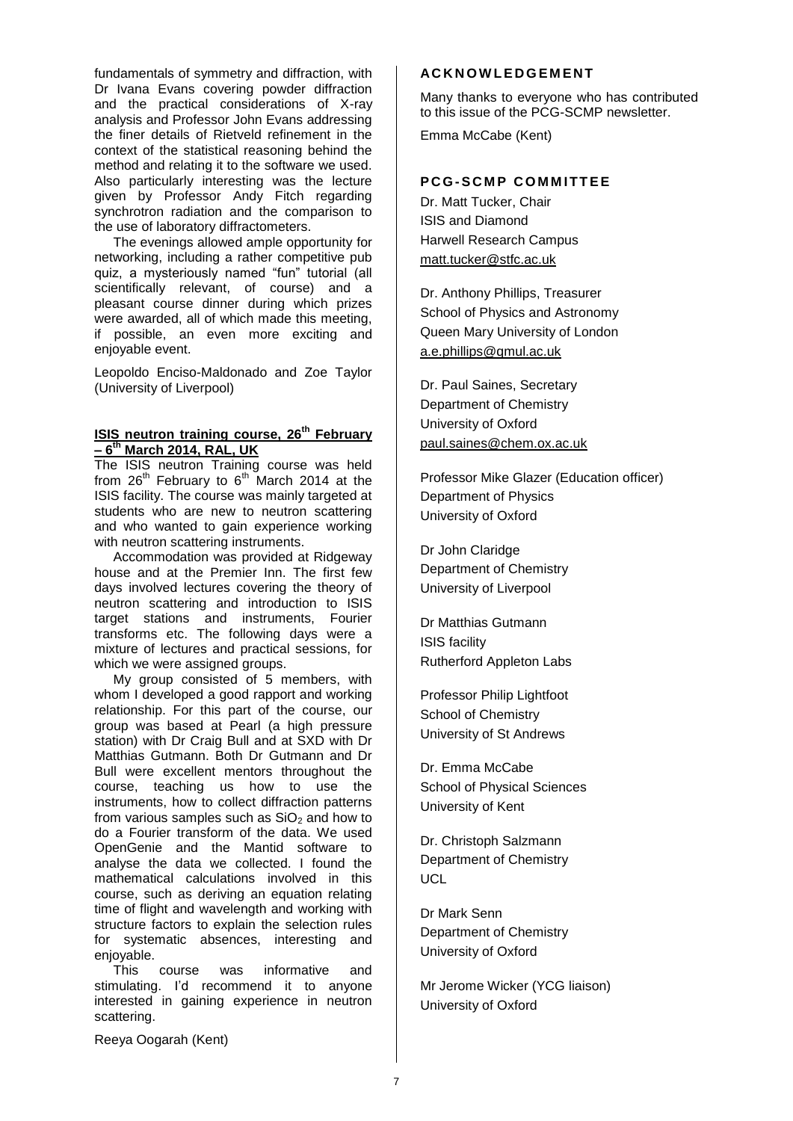fundamentals of symmetry and diffraction, with Dr Ivana Evans covering powder diffraction and the practical considerations of X-ray analysis and Professor John Evans addressing the finer details of Rietveld refinement in the context of the statistical reasoning behind the method and relating it to the software we used. Also particularly interesting was the lecture given by Professor Andy Fitch regarding synchrotron radiation and the comparison to the use of laboratory diffractometers.

The evenings allowed ample opportunity for networking, including a rather competitive pub quiz, a mysteriously named "fun" tutorial (all scientifically relevant, of course) and a pleasant course dinner during which prizes were awarded, all of which made this meeting, if possible, an even more exciting and enjoyable event.

Leopoldo Enciso-Maldonado and Zoe Taylor (University of Liverpool)

# **ISIS neutron training course, 26th February – 6 th March 2014, RAL, UK**

The ISIS neutron Training course was held from  $26<sup>th</sup>$  February to  $6<sup>th</sup>$  March 2014 at the ISIS facility. The course was mainly targeted at students who are new to neutron scattering and who wanted to gain experience working with neutron scattering instruments.

Accommodation was provided at Ridgeway house and at the Premier Inn. The first few days involved lectures covering the theory of neutron scattering and introduction to ISIS target stations and instruments, Fourier transforms etc. The following days were a mixture of lectures and practical sessions, for which we were assigned groups.

My group consisted of 5 members, with whom I developed a good rapport and working relationship. For this part of the course, our group was based at Pearl (a high pressure station) with Dr Craig Bull and at SXD with Dr Matthias Gutmann. Both Dr Gutmann and Dr Bull were excellent mentors throughout the course, teaching us how to use the instruments, how to collect diffraction patterns from various samples such as  $SiO<sub>2</sub>$  and how to do a Fourier transform of the data. We used OpenGenie and the Mantid software to analyse the data we collected. I found the mathematical calculations involved in this course, such as deriving an equation relating time of flight and wavelength and working with structure factors to explain the selection rules for systematic absences, interesting and enjoyable.

This course was informative and stimulating. I'd recommend it to anyone interested in gaining experience in neutron scattering.

## **AC K N O W L E D G E M E N T**

Many thanks to everyone who has contributed to this issue of the PCG-SCMP newsletter.

Emma McCabe (Kent)

# **PCG-SCMP COMMITTEE**

Dr. Matt Tucker, Chair ISIS and Diamond Harwell Research Campus [matt.tucker@stfc.ac.uk](mailto:ivana.radosavljevic@durham.ac.uk)

Dr. Anthony Phillips, Treasurer School of Physics and Astronomy Queen Mary University of London [a.e.phillips@qmul.ac.uk](mailto:j.b.claridge@liverpool.ac.uk)

Dr. Paul Saines, Secretary Department of Chemistry University of Oxford [paul.saines@chem.ox.ac.uk](mailto:paul.saines@chem.ox.ac.uk)

Professor Mike Glazer (Education officer) Department of Physics University of Oxford

Dr John Claridge Department of Chemistry University of Liverpool

Dr Matthias Gutmann ISIS facility Rutherford Appleton Labs

Professor Philip Lightfoot School of Chemistry University of St Andrews

Dr. Emma McCabe School of Physical Sciences University of Kent

Dr. Christoph Salzmann Department of Chemistry **UCL** 

Dr Mark Senn Department of Chemistry University of Oxford

Mr Jerome Wicker (YCG liaison) University of Oxford

Reeya Oogarah (Kent)